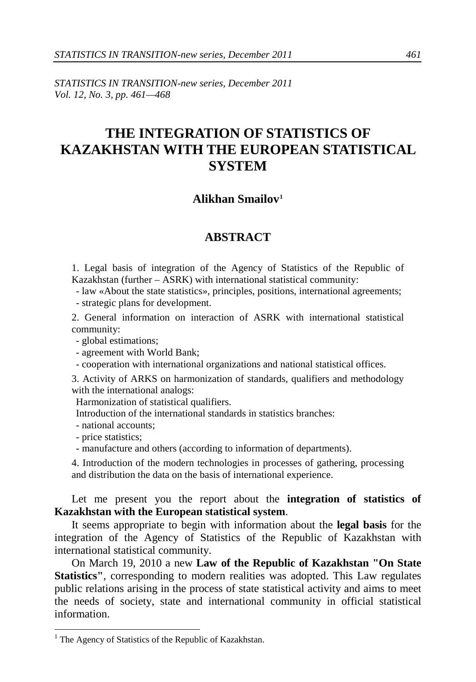*STATISTICS IN TRANSITION-new series, December 2011 Vol. 12, No. 3, pp. 461—468*

## **THE INTEGRATION OF STATISTICS OF KAZAKHSTAN WITH THE EUROPEAN STATISTICAL SYSTEM**

## **Alikhan Smailov[1](#page-0-0)**

## **ABSTRACT**

1. Legal basis of integration of the Agency of Statistics of the Republic of Kazakhstan (further – ASRK) with international statistical community:

- law «About the state statistics», principles, positions, international agreements;

- strategic plans for development.

2. General information on interaction of ASRK with international statistical community:

- global estimations;

- agreement with World Bank;

- cooperation with international organizations and national statistical offices.

3. Activity of ARKS on harmonization of standards, qualifiers and methodology with the international analogs:

Harmonization of statistical qualifiers.

Introduction of the international standards in statistics branches:

- national accounts;

- price statistics;

- manufacture and others (according to information of departments).

4. Introduction of the modern technologies in processes of gathering, processing and distribution the data on the basis of international experience.

Let me present you the report about the **integration of statistics of Kazakhstan with the European statistical system**.

It seems appropriate to begin with information about the **legal basis** for the integration of the Agency of Statistics of the Republic of Kazakhstan with international statistical community.

On March 19, 2010 a new **Law of the Republic of Kazakhstan "On State Statistics"**, corresponding to modern realities was adopted. This Law regulates public relations arising in the process of state statistical activity and aims to meet the needs of society, state and international community in official statistical information.

<span id="page-0-0"></span> $<sup>1</sup>$  The Agency of Statistics of the Republic of Kazakhstan.</sup>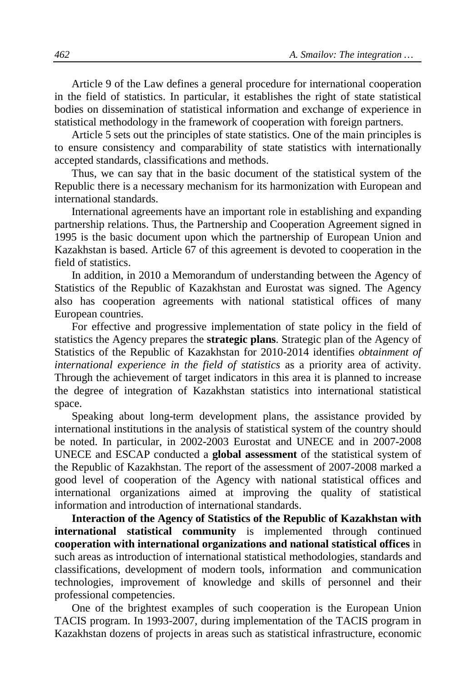Article 9 of the Law defines a general procedure for international cooperation in the field of statistics. In particular, it establishes the right of state statistical bodies on dissemination of statistical information and exchange of experience in statistical methodology in the framework of cooperation with foreign partners.

Article 5 sets out the principles of state statistics. One of the main principles is to ensure consistency and comparability of state statistics with internationally accepted standards, classifications and methods.

Thus, we can say that in the basic document of the statistical system of the Republic there is a necessary mechanism for its harmonization with European and international standards.

International agreements have an important role in establishing and expanding partnership relations. Thus, the Partnership and Cooperation Agreement signed in 1995 is the basic document upon which the partnership of European Union and Kazakhstan is based. Article 67 of this agreement is devoted to cooperation in the field of statistics.

In addition, in 2010 a Memorandum of understanding between the Agency of Statistics of the Republic of Kazakhstan and Eurostat was signed. The Agency also has cooperation agreements with national statistical offices of many European countries.

For effective and progressive implementation of state policy in the field of statistics the Agency prepares the **strategic plans**. Strategic plan of the Agency of Statistics of the Republic of Kazakhstan for 2010-2014 identifies *obtainment of international experience in the field of statistics* as a priority area of activity. Through the achievement of target indicators in this area it is planned to increase the degree of integration of Kazakhstan statistics into international statistical space.

Speaking about long-term development plans, the assistance provided by international institutions in the analysis of statistical system of the country should be noted. In particular, in 2002-2003 Eurostat and UNECE and in 2007-2008 UNECE and ESCAP conducted a **global assessment** of the statistical system of the Republic of Kazakhstan. The report of the assessment of 2007-2008 marked a good level of cooperation of the Agency with national statistical offices and international organizations aimed at improving the quality of statistical information and introduction of international standards.

**Interaction of the Agency of Statistics of the Republic of Kazakhstan with international statistical community** is implemented through continued **cooperation with international organizations and national statistical offices** in such areas as introduction of international statistical methodologies, standards and classifications, development of modern tools, information and communication technologies, improvement of knowledge and skills of personnel and their professional competencies.

One of the brightest examples of such cooperation is the European Union TACIS program. In 1993-2007, during implementation of the TACIS program in Kazakhstan dozens of projects in areas such as statistical infrastructure, economic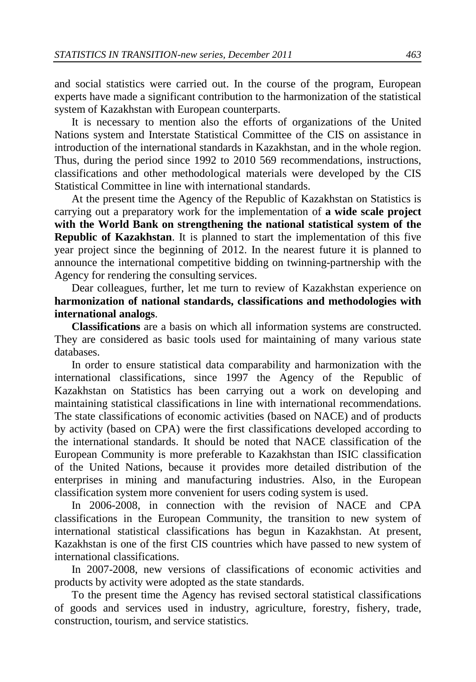and social statistics were carried out. In the course of the program, European experts have made a significant contribution to the harmonization of the statistical system of Kazakhstan with European counterparts.

It is necessary to mention also the efforts of organizations of the United Nations system and Interstate Statistical Committee of the CIS on assistance in introduction of the international standards in Kazakhstan, and in the whole region. Thus, during the period since 1992 to 2010 569 recommendations, instructions, classifications and other methodological materials were developed by the CIS Statistical Committee in line with international standards.

At the present time the Agency of the Republic of Kazakhstan on Statistics is carrying out a preparatory work for the implementation of **a wide scale project with the World Bank on strengthening the national statistical system of the Republic of Kazakhstan**. It is planned to start the implementation of this five year project since the beginning of 2012. In the nearest future it is planned to announce the international competitive bidding on twinning-partnership with the Agency for rendering the consulting services.

Dear colleagues, further, let me turn to review of Kazakhstan experience on **harmonization of national standards, classifications and methodologies with international analogs**.

**Classifications** are a basis on which all information systems are constructed. They are considered as basic tools used for maintaining of many various state databases.

In order to ensure statistical data comparability and harmonization with the international classifications, since 1997 the Agency of the Republic of Kazakhstan on Statistics has been carrying out a work on developing and maintaining statistical classifications in line with international recommendations. The state classifications of economic activities (based on NACE) and of products by activity (based on CPA) were the first classifications developed according to the international standards. It should be noted that NACE classification of the European Community is more preferable to Kazakhstan than ISIC classification of the United Nations, because it provides more detailed distribution of the enterprises in mining and manufacturing industries. Also, in the European classification system more convenient for users coding system is used.

In 2006-2008, in connection with the revision of NACE and CPA classifications in the European Community, the transition to new system of international statistical classifications has begun in Kazakhstan. At present, Kazakhstan is one of the first CIS countries which have passed to new system of international classifications.

In 2007-2008, new versions of classifications of economic activities and products by activity were adopted as the state standards.

To the present time the Agency has revised sectoral statistical classifications of goods and services used in industry, agriculture, forestry, fishery, trade, construction, tourism, and service statistics.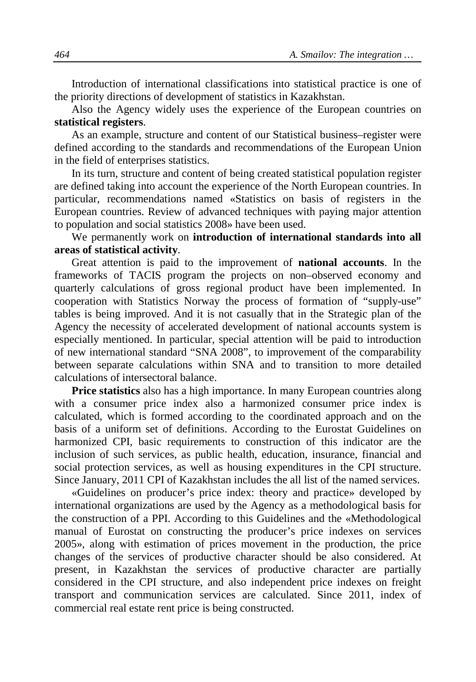Introduction of international classifications into statistical practice is one of the priority directions of development of statistics in Kazakhstan.

Also the Agency widely uses the experience of the European countries on **statistical registers**.

As an example, structure and content of our Statistical business–register were defined according to the standards and recommendations of the European Union in the field of enterprises statistics.

In its turn, structure and content of being created statistical population register are defined taking into account the experience of the North European countries. In particular, recommendations named «Statistics on basis of registers in the European countries. Review of advanced techniques with paying major attention to population and social statistics 2008» have been used.

We permanently work on **introduction of international standards into all areas of statistical activity**.

Great attention is paid to the improvement of **national accounts**. In the frameworks of TACIS program the projects on non–observed economy and quarterly calculations of gross regional product have been implemented. In cooperation with Statistics Norway the process of formation of "supply-use" tables is being improved. And it is not casually that in the Strategic plan of the Agency the necessity of accelerated development of national accounts system is especially mentioned. In particular, special attention will be paid to introduction of new international standard "SNA 2008", to improvement of the comparability between separate calculations within SNA and to transition to more detailed calculations of intersectoral balance.

**Price statistics** also has a high importance. In many European countries along with a consumer price index also a harmonized consumer price index is calculated, which is formed according to the coordinated approach and on the basis of a uniform set of definitions. According to the Eurostat Guidelines on harmonized CPI, basic requirements to construction of this indicator are the inclusion of such services, as public health, education, insurance, financial and social protection services, as well as housing expenditures in the CPI structure. Since January, 2011 CPI of Kazakhstan includes the all list of the named services.

«Guidelines on producer's price index: theory and practice» developed by international organizations are used by the Agency as a methodological basis for the construction of a PPI. According to this Guidelines and the «Methodological manual of Eurostat on constructing the producer's price indexes on services 2005», along with estimation of prices movement in the production, the price changes of the services of productive character should be also considered. At present, in Kazakhstan the services of productive character are partially considered in the CPI structure, and also independent price indexes on freight transport and communication services are calculated. Since 2011, index of commercial real estate rent price is being constructed.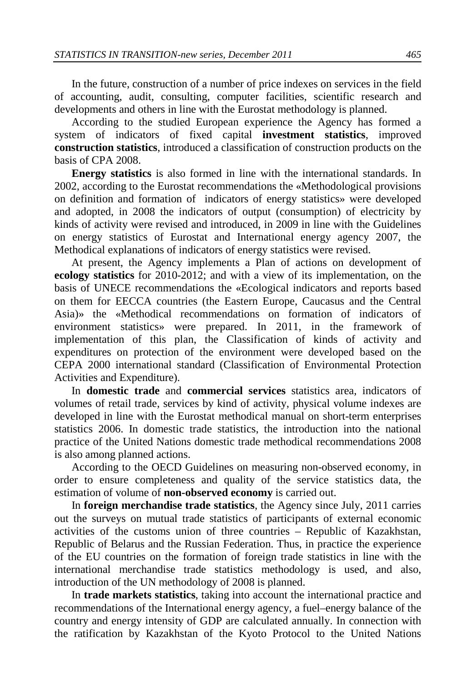In the future, construction of a number of price indexes on services in the field of accounting, audit, consulting, computer facilities, scientific research and developments and others in line with the Eurostat methodology is planned.

According to the studied European experience the Agency has formed a system of indicators of fixed capital **investment statistics**, improved **construction statistics**, introduced a classification of construction products on the basis of CPA 2008.

**Energy statistics** is also formed in line with the international standards. In 2002, according to the Eurostat recommendations the «Methodological provisions on definition and formation of indicators of energy statistics» were developed and adopted, in 2008 the indicators of output (consumption) of electricity by kinds of activity were revised and introduced, in 2009 in line with the Guidelines on energy statistics of Eurostat and International energy agency 2007, the Methodical explanations of indicators of energy statistics were revised.

At present, the Agency implements a Plan of actions on development of **ecology statistics** for 2010-2012; and with a view of its implementation, on the basis of UNECE recommendations the «Ecological indicators and reports based on them for EECCA countries (the Eastern Europe, Caucasus and the Central Asia)» the «Methodical recommendations on formation of indicators of environment statistics» were prepared. In 2011, in the framework of implementation of this plan, the Classification of kinds of activity and expenditures on protection of the environment were developed based on the CEPA 2000 international standard (Classification of Environmental Protection Activities and Expenditure).

In **domestic trade** and **commercial services** statistics area, indicators of volumes of retail trade, services by kind of activity, physical volume indexes are developed in line with the Eurostat methodical manual on short-term enterprises statistics 2006. In domestic trade statistics, the introduction into the national practice of the United Nations domestic trade methodical recommendations 2008 is also among planned actions.

According to the OECD Guidelines on measuring non-observed economy, in order to ensure completeness and quality of the service statistics data, the estimation of volume of **non-observed economy** is carried out.

In **foreign merchandise trade statistics**, the Agency since July, 2011 carries out the surveys on mutual trade statistics of participants of external economic activities of the customs union of three countries – Republic of Kazakhstan, Republic of Belarus and the Russian Federation. Thus, in practice the experience of the EU countries on the formation of foreign trade statistics in line with the international merchandise trade statistics methodology is used, and also, introduction of the UN methodology of 2008 is planned.

In **trade markets statistics**, taking into account the international practice and recommendations of the International energy agency, a fuel–energy balance of the country and energy intensity of GDP are calculated annually. In connection with the ratification by Kazakhstan of the Kyoto Protocol to the [United Nations](http://en.wikipedia.org/wiki/United_Nations_Framework_Convention_on_Climate_Change)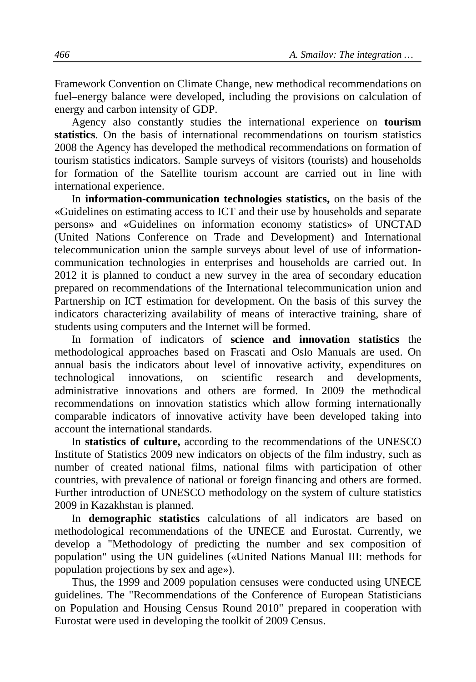Framework Convention on Climate Change, new methodical recommendations on fuel–energy balance were developed, including the provisions on calculation of energy and carbon intensity of GDP.

Agency also constantly studies the international experience on **tourism statistics**. On the basis of international recommendations on tourism statistics 2008 the Agency has developed the methodical recommendations on formation of tourism statistics indicators. Sample surveys of visitors (tourists) and households for formation of the Satellite tourism account are carried out in line with international experience.

In **information-communication technologies statistics,** on the basis of the «Guidelines on estimating access to ICT and their use by households and separate persons» and «Guidelines on information economy statistics» of UNCTAD (United Nations Conference on Trade and Development) and International telecommunication union the sample surveys about level of use of informationcommunication technologies in enterprises and households are carried out. In 2012 it is planned to conduct a new survey in the area of secondary education prepared on recommendations of the International telecommunication union and Partnership on ICT estimation for development. On the basis of this survey the indicators characterizing availability of means of interactive training, share of students using computers and the Internet will be formed.

In formation of indicators of **science and innovation statistics** the methodological approaches based on Frascati and Oslo Manuals are used. On annual basis the indicators about level of innovative activity, expenditures on technological innovations, on scientific research and developments, administrative innovations and others are formed. In 2009 the methodical recommendations on innovation statistics which allow forming internationally comparable indicators of innovative activity have been developed taking into account the international standards.

In **statistics of culture,** according to the recommendations of the UNESCO Institute of Statistics 2009 new indicators on objects of the film industry, such as number of created national films, national films with participation of other countries, with prevalence of national or foreign financing and others are formed. Further introduction of UNESCO methodology on the system of culture statistics 2009 in Kazakhstan is planned.

In **demographic statistics** calculations of all indicators are based on methodological recommendations of the UNECE and Eurostat. Currently, we develop a "Methodology of predicting the number and sex composition of population" using the UN guidelines («United Nations Manual III: methods for population projections by sex and age»).

Thus, the 1999 and 2009 population censuses were conducted using UNECE guidelines. The "Recommendations of the Conference of European Statisticians on Population and Housing Census Round 2010" prepared in cooperation with Eurostat were used in developing the toolkit of 2009 Census.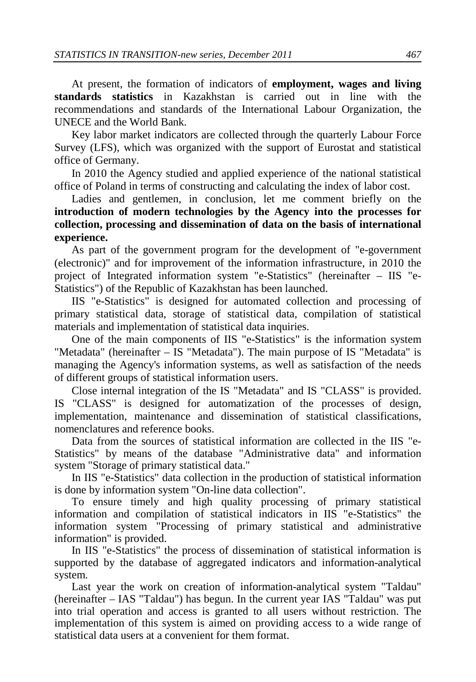At present, the formation of indicators of **employment, wages and living standards statistics** in Kazakhstan is carried out in line with the recommendations and standards of the International Labour Organization, the UNECE and the World Bank.

Key labor market indicators are collected through the quarterly Labour Force Survey (LFS), which was organized with the support of Eurostat and statistical office of Germany.

In 2010 the Agency studied and applied experience of the national statistical office of Poland in terms of constructing and calculating the index of labor cost.

Ladies and gentlemen, in conclusion, let me comment briefly on the **introduction of modern technologies by the Agency into the processes for collection, processing and dissemination of data on the basis of international experience.**

As part of the government program for the development of "e-government (electronic)" and for improvement of the information infrastructure, in 2010 the project of Integrated information system "e-Statistics" (hereinafter – IIS "e-Statistics") of the Republic of Kazakhstan has been launched.

IIS "e-Statistics" is designed for automated collection and processing of primary statistical data, storage of statistical data, compilation of statistical materials and implementation of statistical data inquiries.

One of the main components of IIS "e-Statistics" is the information system "Metadata" (hereinafter – IS "Metadata"). The main purpose of IS "Metadata" is managing the Agency's information systems, as well as satisfaction of the needs of different groups of statistical information users.

Close internal integration of the IS "Metadata" and IS "CLASS" is provided. IS "CLASS" is designed for automatization of the processes of design, implementation, maintenance and dissemination of statistical classifications, nomenclatures and reference books.

Data from the sources of statistical information are collected in the IIS "e-Statistics" by means of the database "Administrative data" and information system "Storage of primary statistical data."

In IIS "e-Statistics" data collection in the production of statistical information is done by information system "On-line data collection".

To ensure timely and high quality processing of primary statistical information and compilation of statistical indicators in IIS "e-Statistics" the information system "Processing of primary statistical and administrative information" is provided.

In IIS "e-Statistics" the process of dissemination of statistical information is supported by the database of aggregated indicators and information-analytical system.

Last year the work on creation of information-analytical system "Taldau" (hereinafter – IAS "Taldau") has begun. In the current year IAS "Taldau" was put into trial operation and access is granted to all users without restriction. The implementation of this system is aimed on providing access to a wide range of statistical data users at a convenient for them format.